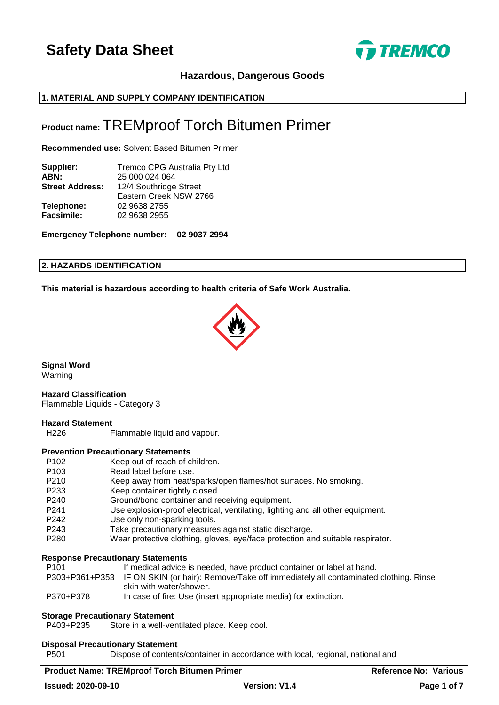

# **Hazardous, Dangerous Goods**

# **1. MATERIAL AND SUPPLY COMPANY IDENTIFICATION**

# **Product name:** TREMproof Torch Bitumen Primer

**Recommended use:** Solvent Based Bitumen Primer

| Supplier:              | <b>Tremco CPG Australia Pty Ltd</b> |
|------------------------|-------------------------------------|
| ABN:                   | 25 000 024 064                      |
| <b>Street Address:</b> | 12/4 Southridge Street              |
|                        | Eastern Creek NSW 2766              |
| Telephone:             | 02 9638 2755                        |
| Facsimile:             | 02 9638 2955                        |
|                        |                                     |

**Emergency Telephone number: 02 9037 2994**

#### **2. HAZARDS IDENTIFICATION**

**This material is hazardous according to health criteria of Safe Work Australia.**



**Signal Word** Warning

**Hazard Classification** Flammable Liquids - Category 3

#### **Hazard Statement**

H226 Flammable liquid and vapour.

#### **Prevention Precautionary Statements**

- P102 Keep out of reach of children.<br>P103 Read label before use. Read label before use.
- P210 Keep away from heat/sparks/open flames/hot surfaces. No smoking.
- P233 Keep container tightly closed.
- P240 Ground/bond container and receiving equipment.
- P241 Use explosion-proof electrical, ventilating, lighting and all other equipment.
- P242 Use only non-sparking tools.
- P243 Take precautionary measures against static discharge.
- P280 Wear protective clothing, gloves, eye/face protection and suitable respirator.

#### **Response Precautionary Statements**

| P101      | If medical advice is needed, have product container or label at hand.                             |
|-----------|---------------------------------------------------------------------------------------------------|
|           | P303+P361+P353 IF ON SKIN (or hair): Remove/Take off immediately all contaminated clothing. Rinse |
|           | skin with water/shower.                                                                           |
| P370+P378 | In case of fire: Use (insert appropriate media) for extinction.                                   |

#### **Storage Precautionary Statement**

P403+P235 Store in a well-ventilated place. Keep cool.

#### **Disposal Precautionary Statement**

P501 Dispose of contents/container in accordance with local, regional, national and

# **Product Name: TREMproof Torch Bitumen Primer Reference No: Various Reference No: Various**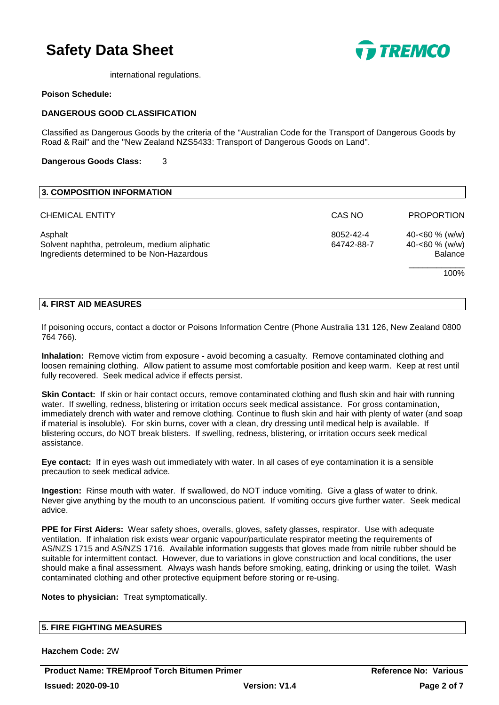

international regulations.

#### **Poison Schedule:**

### **DANGEROUS GOOD CLASSIFICATION**

Classified as Dangerous Goods by the criteria of the "Australian Code for the Transport of Dangerous Goods by Road & Rail" and the "New Zealand NZS5433: Transport of Dangerous Goods on Land".

#### **Dangerous Goods Class:** 3

| <b>3. COMPOSITION INFORMATION</b>                                                                     |                         |                                                                |
|-------------------------------------------------------------------------------------------------------|-------------------------|----------------------------------------------------------------|
| <b>CHEMICAL ENTITY</b>                                                                                | CAS NO                  | <b>PROPORTION</b>                                              |
| Asphalt<br>Solvent naphtha, petroleum, medium aliphatic<br>Ingredients determined to be Non-Hazardous | 8052-42-4<br>64742-88-7 | 40-<60 $%$ (w/w)<br>40-<60 $% (w/w)$<br><b>Balance</b><br>100% |

#### **4. FIRST AID MEASURES**

If poisoning occurs, contact a doctor or Poisons Information Centre (Phone Australia 131 126, New Zealand 0800 764 766).

**Inhalation:** Remove victim from exposure - avoid becoming a casualty. Remove contaminated clothing and loosen remaining clothing. Allow patient to assume most comfortable position and keep warm. Keep at rest until fully recovered. Seek medical advice if effects persist.

**Skin Contact:** If skin or hair contact occurs, remove contaminated clothing and flush skin and hair with running water. If swelling, redness, blistering or irritation occurs seek medical assistance. For gross contamination, immediately drench with water and remove clothing. Continue to flush skin and hair with plenty of water (and soap if material is insoluble). For skin burns, cover with a clean, dry dressing until medical help is available. If blistering occurs, do NOT break blisters. If swelling, redness, blistering, or irritation occurs seek medical assistance.

**Eye contact:** If in eyes wash out immediately with water. In all cases of eye contamination it is a sensible precaution to seek medical advice.

**Ingestion:** Rinse mouth with water. If swallowed, do NOT induce vomiting. Give a glass of water to drink. Never give anything by the mouth to an unconscious patient. If vomiting occurs give further water. Seek medical advice.

**PPE for First Aiders:** Wear safety shoes, overalls, gloves, safety glasses, respirator. Use with adequate ventilation. If inhalation risk exists wear organic vapour/particulate respirator meeting the requirements of AS/NZS 1715 and AS/NZS 1716. Available information suggests that gloves made from nitrile rubber should be suitable for intermittent contact. However, due to variations in glove construction and local conditions, the user should make a final assessment. Always wash hands before smoking, eating, drinking or using the toilet. Wash contaminated clothing and other protective equipment before storing or re-using.

**Notes to physician:** Treat symptomatically.

#### **5. FIRE FIGHTING MEASURES**

**Hazchem Code:** 2W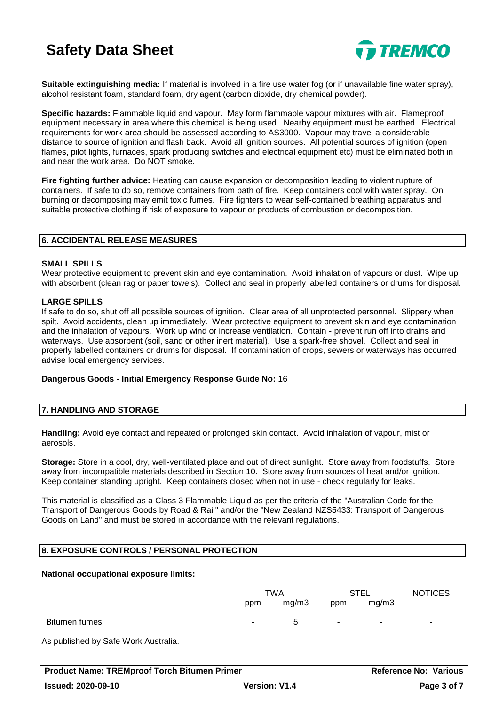

**Suitable extinguishing media:** If material is involved in a fire use water fog (or if unavailable fine water spray), alcohol resistant foam, standard foam, dry agent (carbon dioxide, dry chemical powder).

**Specific hazards:** Flammable liquid and vapour. May form flammable vapour mixtures with air. Flameproof equipment necessary in area where this chemical is being used. Nearby equipment must be earthed. Electrical requirements for work area should be assessed according to AS3000. Vapour may travel a considerable distance to source of ignition and flash back. Avoid all ignition sources. All potential sources of ignition (open flames, pilot lights, furnaces, spark producing switches and electrical equipment etc) must be eliminated both in and near the work area. Do NOT smoke.

**Fire fighting further advice:** Heating can cause expansion or decomposition leading to violent rupture of containers. If safe to do so, remove containers from path of fire. Keep containers cool with water spray. On burning or decomposing may emit toxic fumes. Fire fighters to wear self-contained breathing apparatus and suitable protective clothing if risk of exposure to vapour or products of combustion or decomposition.

#### **6. ACCIDENTAL RELEASE MEASURES**

#### **SMALL SPILLS**

Wear protective equipment to prevent skin and eye contamination. Avoid inhalation of vapours or dust. Wipe up with absorbent (clean rag or paper towels). Collect and seal in properly labelled containers or drums for disposal.

#### **LARGE SPILLS**

If safe to do so, shut off all possible sources of ignition. Clear area of all unprotected personnel. Slippery when spilt. Avoid accidents, clean up immediately. Wear protective equipment to prevent skin and eye contamination and the inhalation of vapours. Work up wind or increase ventilation. Contain - prevent run off into drains and waterways. Use absorbent (soil, sand or other inert material). Use a spark-free shovel. Collect and seal in properly labelled containers or drums for disposal. If contamination of crops, sewers or waterways has occurred advise local emergency services.

#### **Dangerous Goods - Initial Emergency Response Guide No:** 16

## **7. HANDLING AND STORAGE**

**Handling:** Avoid eye contact and repeated or prolonged skin contact. Avoid inhalation of vapour, mist or aerosols.

**Storage:** Store in a cool, dry, well-ventilated place and out of direct sunlight. Store away from foodstuffs. Store away from incompatible materials described in Section 10. Store away from sources of heat and/or ignition. Keep container standing upright. Keep containers closed when not in use - check regularly for leaks.

This material is classified as a Class 3 Flammable Liquid as per the criteria of the "Australian Code for the Transport of Dangerous Goods by Road & Rail" and/or the "New Zealand NZS5433: Transport of Dangerous Goods on Land" and must be stored in accordance with the relevant regulations.

# **8. EXPOSURE CONTROLS / PERSONAL PROTECTION**

#### **National occupational exposure limits:**

|               | TWA             |             | <b>STEL</b> |        | <b>NOTICES</b> |
|---------------|-----------------|-------------|-------------|--------|----------------|
|               | ppm             | mg/m3       | ppm         | mg/m3  |                |
| Bitumen fumes | $\sim$ 10 $\pm$ | $5^{\circ}$ | $\sim$      | $\sim$ | $\sim$         |

As published by Safe Work Australia.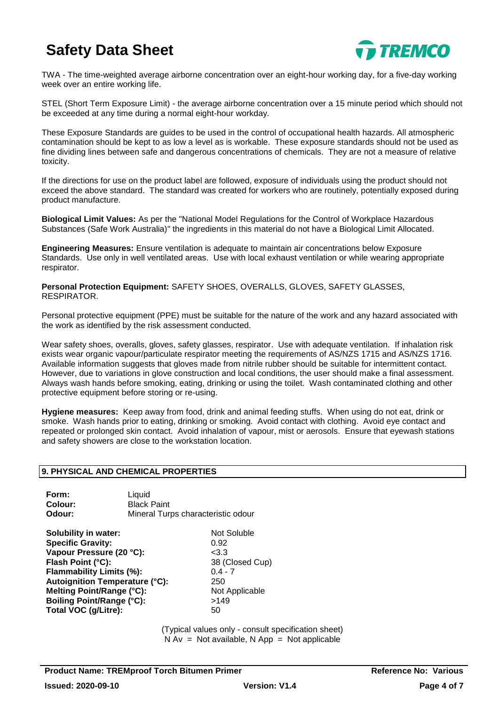

TWA - The time-weighted average airborne concentration over an eight-hour working day, for a five-day working week over an entire working life.

STEL (Short Term Exposure Limit) - the average airborne concentration over a 15 minute period which should not be exceeded at any time during a normal eight-hour workday.

These Exposure Standards are guides to be used in the control of occupational health hazards. All atmospheric contamination should be kept to as low a level as is workable. These exposure standards should not be used as fine dividing lines between safe and dangerous concentrations of chemicals. They are not a measure of relative toxicity.

If the directions for use on the product label are followed, exposure of individuals using the product should not exceed the above standard. The standard was created for workers who are routinely, potentially exposed during product manufacture.

**Biological Limit Values:** As per the "National Model Regulations for the Control of Workplace Hazardous Substances (Safe Work Australia)" the ingredients in this material do not have a Biological Limit Allocated.

**Engineering Measures:** Ensure ventilation is adequate to maintain air concentrations below Exposure Standards. Use only in well ventilated areas. Use with local exhaust ventilation or while wearing appropriate respirator.

**Personal Protection Equipment:** SAFETY SHOES, OVERALLS, GLOVES, SAFETY GLASSES, RESPIRATOR.

Personal protective equipment (PPE) must be suitable for the nature of the work and any hazard associated with the work as identified by the risk assessment conducted.

Wear safety shoes, overalls, gloves, safety glasses, respirator. Use with adequate ventilation. If inhalation risk exists wear organic vapour/particulate respirator meeting the requirements of AS/NZS 1715 and AS/NZS 1716. Available information suggests that gloves made from nitrile rubber should be suitable for intermittent contact. However, due to variations in glove construction and local conditions, the user should make a final assessment. Always wash hands before smoking, eating, drinking or using the toilet. Wash contaminated clothing and other protective equipment before storing or re-using.

**Hygiene measures:** Keep away from food, drink and animal feeding stuffs. When using do not eat, drink or smoke. Wash hands prior to eating, drinking or smoking. Avoid contact with clothing. Avoid eye contact and repeated or prolonged skin contact. Avoid inhalation of vapour, mist or aerosols. Ensure that eyewash stations and safety showers are close to the workstation location.

# **9. PHYSICAL AND CHEMICAL PROPERTIES**

| Form:   | Liauid                             |
|---------|------------------------------------|
| Colour: | <b>Black Paint</b>                 |
| Odour:  | Mineral Turps characteristic odour |

**Solubility in water:** Not Soluble **Specific Gravity:** 0.92 Vapour Pressure (20 °C): <3.3 Flash Point (°C): 38 (Closed Cup) **Flammability Limits (%):** 0.4 - 7 **Autoignition Temperature (°C):** 250 **Melting Point/Range (°C):** Not Applicable **Boiling Point/Range (°C):** >149 **Total VOC (g/Litre):** 50

(Typical values only - consult specification sheet)  $N Av = Not available$ ,  $N App = Not applicable$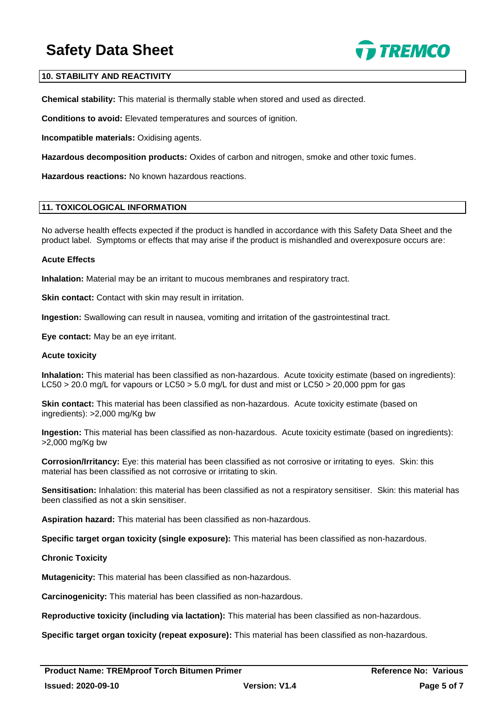

## **10. STABILITY AND REACTIVITY**

**Chemical stability:** This material is thermally stable when stored and used as directed.

**Conditions to avoid:** Elevated temperatures and sources of ignition.

**Incompatible materials:** Oxidising agents.

**Hazardous decomposition products:** Oxides of carbon and nitrogen, smoke and other toxic fumes.

**Hazardous reactions:** No known hazardous reactions.

#### **11. TOXICOLOGICAL INFORMATION**

No adverse health effects expected if the product is handled in accordance with this Safety Data Sheet and the product label. Symptoms or effects that may arise if the product is mishandled and overexposure occurs are:

#### **Acute Effects**

**Inhalation:** Material may be an irritant to mucous membranes and respiratory tract.

**Skin contact:** Contact with skin may result in irritation.

**Ingestion:** Swallowing can result in nausea, vomiting and irritation of the gastrointestinal tract.

**Eye contact:** May be an eye irritant.

#### **Acute toxicity**

**Inhalation:** This material has been classified as non-hazardous. Acute toxicity estimate (based on ingredients): LC50 > 20.0 mg/L for vapours or LC50 > 5.0 mg/L for dust and mist or LC50 > 20,000 ppm for gas

**Skin contact:** This material has been classified as non-hazardous. Acute toxicity estimate (based on ingredients): >2,000 mg/Kg bw

**Ingestion:** This material has been classified as non-hazardous. Acute toxicity estimate (based on ingredients): >2,000 mg/Kg bw

**Corrosion/Irritancy:** Eye: this material has been classified as not corrosive or irritating to eyes. Skin: this material has been classified as not corrosive or irritating to skin.

**Sensitisation:** Inhalation: this material has been classified as not a respiratory sensitiser. Skin: this material has been classified as not a skin sensitiser.

**Aspiration hazard:** This material has been classified as non-hazardous.

**Specific target organ toxicity (single exposure):** This material has been classified as non-hazardous.

#### **Chronic Toxicity**

**Mutagenicity:** This material has been classified as non-hazardous.

**Carcinogenicity:** This material has been classified as non-hazardous.

**Reproductive toxicity (including via lactation):** This material has been classified as non-hazardous.

**Specific target organ toxicity (repeat exposure):** This material has been classified as non-hazardous.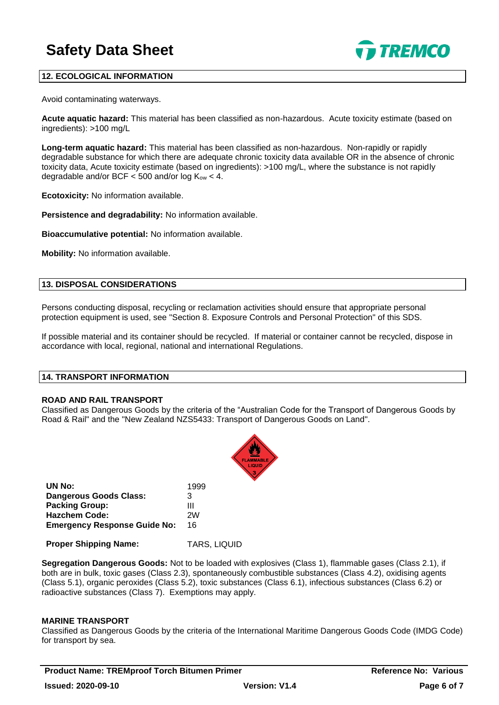

# **12. ECOLOGICAL INFORMATION**

Avoid contaminating waterways.

**Acute aquatic hazard:** This material has been classified as non-hazardous. Acute toxicity estimate (based on ingredients): >100 mg/L

**Long-term aquatic hazard:** This material has been classified as non-hazardous. Non-rapidly or rapidly degradable substance for which there are adequate chronic toxicity data available OR in the absence of chronic toxicity data, Acute toxicity estimate (based on ingredients): >100 mg/L, where the substance is not rapidly degradable and/or BCF  $<$  500 and/or log  $K_{ow}$  < 4.

**Ecotoxicity:** No information available.

**Persistence and degradability:** No information available.

**Bioaccumulative potential:** No information available.

**Mobility:** No information available.

#### **13. DISPOSAL CONSIDERATIONS**

Persons conducting disposal, recycling or reclamation activities should ensure that appropriate personal protection equipment is used, see "Section 8. Exposure Controls and Personal Protection" of this SDS.

If possible material and its container should be recycled. If material or container cannot be recycled, dispose in accordance with local, regional, national and international Regulations.

### **14. TRANSPORT INFORMATION**

#### **ROAD AND RAIL TRANSPORT**

Classified as Dangerous Goods by the criteria of the "Australian Code for the Transport of Dangerous Goods by Road & Rail" and the "New Zealand NZS5433: Transport of Dangerous Goods on Land".



| UN No:                              | 1999 |
|-------------------------------------|------|
| <b>Dangerous Goods Class:</b>       | 3    |
| <b>Packing Group:</b>               | Ш    |
| <b>Hazchem Code:</b>                | 2W   |
| <b>Emergency Response Guide No:</b> | 16   |

**Proper Shipping Name:** TARS, LIQUID

**Segregation Dangerous Goods:** Not to be loaded with explosives (Class 1), flammable gases (Class 2.1), if both are in bulk, toxic gases (Class 2.3), spontaneously combustible substances (Class 4.2), oxidising agents (Class 5.1), organic peroxides (Class 5.2), toxic substances (Class 6.1), infectious substances (Class 6.2) or radioactive substances (Class 7). Exemptions may apply.

# **MARINE TRANSPORT**

Classified as Dangerous Goods by the criteria of the International Maritime Dangerous Goods Code (IMDG Code) for transport by sea.